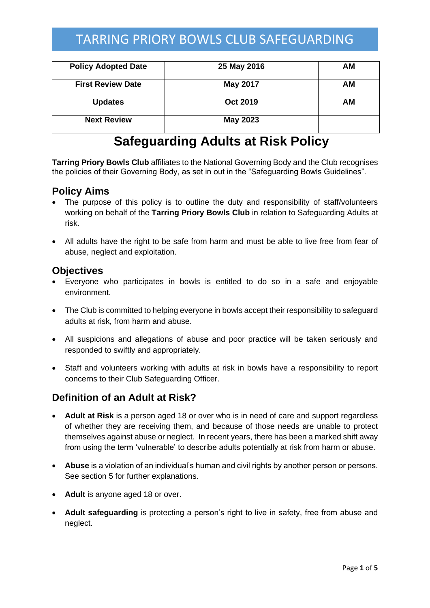| <b>Policy Adopted Date</b> | 25 May 2016     | AМ |
|----------------------------|-----------------|----|
| <b>First Review Date</b>   | <b>May 2017</b> | AМ |
| <b>Updates</b>             | <b>Oct 2019</b> | ΑM |
| <b>Next Review</b>         | <b>May 2023</b> |    |

# **Safeguarding Adults at Risk Policy**

**Tarring Priory Bowls Club** affiliates to the National Governing Body and the Club recognises the policies of their Governing Body, as set in out in the "Safeguarding Bowls Guidelines".

#### **Policy Aims**

- The purpose of this policy is to outline the duty and responsibility of staff/volunteers working on behalf of the **Tarring Priory Bowls Club** in relation to Safeguarding Adults at risk.
- All adults have the right to be safe from harm and must be able to live free from fear of abuse, neglect and exploitation.

#### **Objectives**

- Everyone who participates in bowls is entitled to do so in a safe and enjoyable environment.
- The Club is committed to helping everyone in bowls accept their responsibility to safeguard adults at risk, from harm and abuse.
- All suspicions and allegations of abuse and poor practice will be taken seriously and responded to swiftly and appropriately.
- Staff and volunteers working with adults at risk in bowls have a responsibility to report concerns to their Club Safeguarding Officer.

## **Definition of an Adult at Risk?**

- **Adult at Risk** is a person aged 18 or over who is in need of care and support regardless of whether they are receiving them, and because of those needs are unable to protect themselves against abuse or neglect. In recent years, there has been a marked shift away from using the term 'vulnerable' to describe adults potentially at risk from harm or abuse.
- **Abuse** is a violation of an individual's human and civil rights by another person or persons. See section 5 for further explanations.
- **Adult** is anyone aged 18 or over.
- **Adult safeguarding** is protecting a person's right to live in safety, free from abuse and neglect.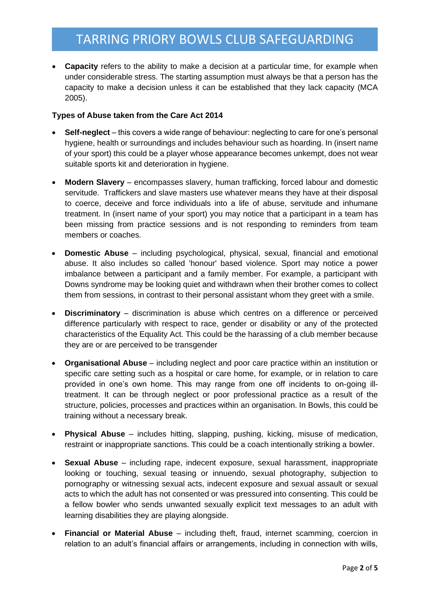• **Capacity** refers to the ability to make a decision at a particular time, for example when under considerable stress. The starting assumption must always be that a person has the capacity to make a decision unless it can be established that they lack capacity (MCA 2005).

#### **Types of Abuse taken from the Care Act 2014**

- **Self-neglect** this covers a wide range of behaviour: neglecting to care for one's personal hygiene, health or surroundings and includes behaviour such as hoarding. In (insert name of your sport) this could be a player whose appearance becomes unkempt, does not wear suitable sports kit and deterioration in hygiene.
- **Modern Slavery** encompasses slavery, human trafficking, forced labour and domestic servitude. Traffickers and slave masters use whatever means they have at their disposal to coerce, deceive and force individuals into a life of abuse, servitude and inhumane treatment. In (insert name of your sport) you may notice that a participant in a team has been missing from practice sessions and is not responding to reminders from team members or coaches.
- **Domestic Abuse**  including psychological, physical, sexual, financial and emotional abuse. It also includes so called 'honour' based violence. Sport may notice a power imbalance between a participant and a family member. For example, a participant with Downs syndrome may be looking quiet and withdrawn when their brother comes to collect them from sessions, in contrast to their personal assistant whom they greet with a smile.
- **Discriminatory** discrimination is abuse which centres on a difference or perceived difference particularly with respect to race, gender or disability or any of the protected characteristics of the Equality Act. This could be the harassing of a club member because they are or are perceived to be transgender
- **Organisational Abuse** including neglect and poor care practice within an institution or specific care setting such as a hospital or care home, for example, or in relation to care provided in one's own home. This may range from one off incidents to on-going illtreatment. It can be through neglect or poor professional practice as a result of the structure, policies, processes and practices within an organisation. In Bowls, this could be training without a necessary break.
- **Physical Abuse**  includes hitting, slapping, pushing, kicking, misuse of medication, restraint or inappropriate sanctions. This could be a coach intentionally striking a bowler.
- **Sexual Abuse**  including rape, indecent exposure, sexual harassment, inappropriate looking or touching, sexual teasing or innuendo, sexual photography, subjection to pornography or witnessing sexual acts, indecent exposure and sexual assault or sexual acts to which the adult has not consented or was pressured into consenting. This could be a fellow bowler who sends unwanted sexually explicit text messages to an adult with learning disabilities they are playing alongside.
- **Financial or Material Abuse**  including theft, fraud, internet scamming, coercion in relation to an adult's financial affairs or arrangements, including in connection with wills,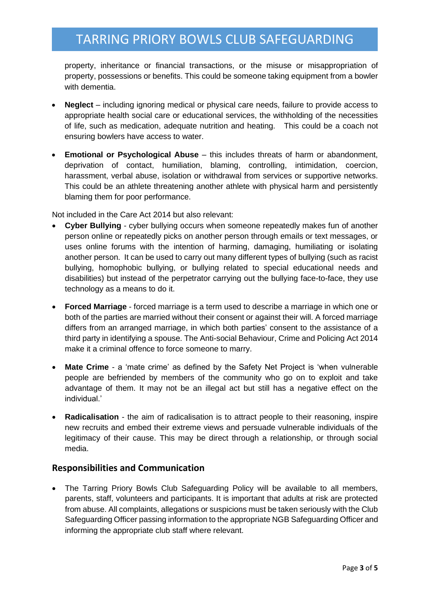property, inheritance or financial transactions, or the misuse or misappropriation of property, possessions or benefits. This could be someone taking equipment from a bowler with dementia.

- **Neglect**  including ignoring medical or physical care needs, failure to provide access to appropriate health social care or educational services, the withholding of the necessities of life, such as medication, adequate nutrition and heating. This could be a coach not ensuring bowlers have access to water.
- **Emotional or Psychological Abuse**  this includes threats of harm or abandonment, deprivation of contact, humiliation, blaming, controlling, intimidation, coercion, harassment, verbal abuse, isolation or withdrawal from services or supportive networks. This could be an athlete threatening another athlete with physical harm and persistently blaming them for poor performance.

Not included in the Care Act 2014 but also relevant:

- **Cyber Bullying**  cyber bullying occurs when someone repeatedly makes fun of another person online or repeatedly picks on another person through emails or text messages, or uses online forums with the intention of harming, damaging, humiliating or isolating another person. It can be used to carry out many different types of bullying (such as racist bullying, homophobic bullying, or bullying related to special educational needs and disabilities) but instead of the perpetrator carrying out the bullying face-to-face, they use technology as a means to do it.
- **Forced Marriage** forced marriage is a term used to describe a marriage in which one or both of the parties are married without their consent or against their will. A forced marriage differs from an arranged marriage, in which both parties' consent to the assistance of a third party in identifying a spouse. The Anti-social Behaviour, Crime and Policing Act 2014 make it a criminal offence to force someone to marry.
- **Mate Crime**  a 'mate crime' as defined by the Safety Net Project is 'when vulnerable people are befriended by members of the community who go on to exploit and take advantage of them. It may not be an illegal act but still has a negative effect on the individual.'
- **Radicalisation** the aim of radicalisation is to attract people to their reasoning, inspire new recruits and embed their extreme views and persuade vulnerable individuals of the legitimacy of their cause. This may be direct through a relationship, or through social media.

#### **Responsibilities and Communication**

• The Tarring Priory Bowls Club Safeguarding Policy will be available to all members, parents, staff, volunteers and participants. It is important that adults at risk are protected from abuse. All complaints, allegations or suspicions must be taken seriously with the Club Safeguarding Officer passing information to the appropriate NGB Safeguarding Officer and informing the appropriate club staff where relevant.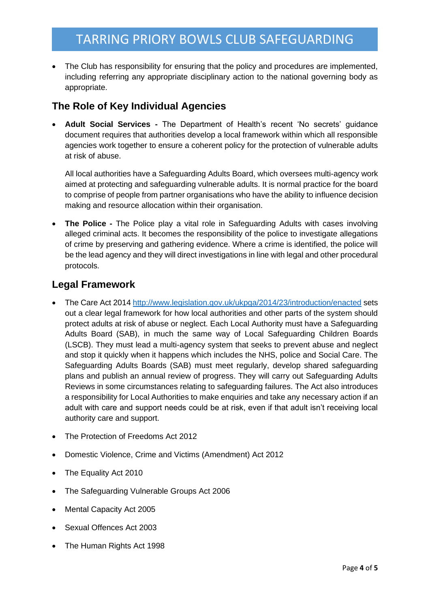• The Club has responsibility for ensuring that the policy and procedures are implemented, including referring any appropriate disciplinary action to the national governing body as appropriate.

## **The Role of Key Individual Agencies**

• **Adult Social Services -** The Department of Health's recent 'No secrets' guidance document requires that authorities develop a local framework within which all responsible agencies work together to ensure a coherent policy for the protection of vulnerable adults at risk of abuse.

All local authorities have a Safeguarding Adults Board, which oversees multi-agency work aimed at protecting and safeguarding vulnerable adults. It is normal practice for the board to comprise of people from partner organisations who have the ability to influence decision making and resource allocation within their organisation.

• **The Police -** The Police play a vital role in Safeguarding Adults with cases involving alleged criminal acts. It becomes the responsibility of the police to investigate allegations of crime by preserving and gathering evidence. Where a crime is identified, the police will be the lead agency and they will direct investigations in line with legal and other procedural protocols.

## **Legal Framework**

- The Care Act 201[4 http://www.legislation.gov.uk/ukpga/2014/23/introduction/enacted](http://www.legislation.gov.uk/ukpga/2014/23/introduction/enacted) sets out a clear legal framework for how local authorities and other parts of the system should protect adults at risk of abuse or neglect. Each Local Authority must have a Safeguarding Adults Board (SAB), in much the same way of Local Safeguarding Children Boards (LSCB). They must lead a multi-agency system that seeks to prevent abuse and neglect and stop it quickly when it happens which includes the NHS, police and Social Care. The Safeguarding Adults Boards (SAB) must meet regularly, develop shared safeguarding plans and publish an annual review of progress. They will carry out Safeguarding Adults Reviews in some circumstances relating to safeguarding failures. The Act also introduces a responsibility for Local Authorities to make enquiries and take any necessary action if an adult with care and support needs could be at risk, even if that adult isn't receiving local authority care and support.
- The Protection of Freedoms Act 2012
- Domestic Violence, Crime and Victims (Amendment) Act 2012
- The Equality Act 2010
- The Safeguarding Vulnerable Groups Act 2006
- Mental Capacity Act 2005
- Sexual Offences Act 2003
- The Human Rights Act 1998